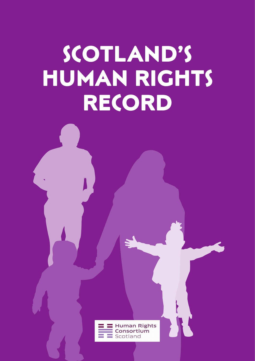# RECORD<br>
and the contract of the contract of the contract of the contract of the contract of the contract of the contract of the contract of the contract of the contract of the contract of the contract of the contract of th **SCOTLAND'S HUMAN RIGHTS RECORD**

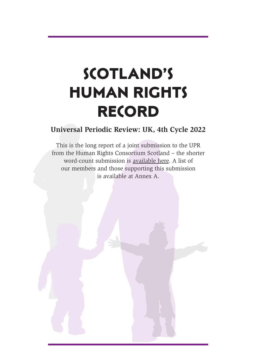# **SCOTLAND'S HUMAN RIGHTS RECORD**

#### **Universal Periodic Review: UK, 4th Cycle 2022**

This is the long report of a joint submission to the UPR from the Human Rights Consortium Scotland – the shorter word-count submission is available here. A list of our members and those supporting this submission is available at Annex A.

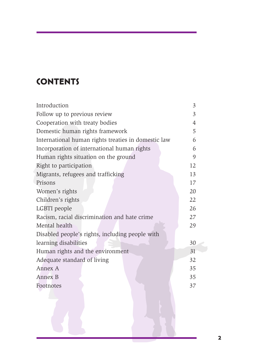# **CONTENTS**

| Introduction                                        | 3  |
|-----------------------------------------------------|----|
| Follow up to previous review                        | 3  |
| Cooperation with treaty bodies                      | 4  |
| Domestic human rights framework                     | 5  |
| International human rights treaties in domestic law | 6  |
| Incorporation of international human rights         | 6  |
| Human rights situation on the ground                | 9  |
| Right to participation                              | 12 |
| Migrants, refugees and trafficking                  | 13 |
| Prisons                                             | 17 |
| Women's rights                                      | 20 |
| Children's rights                                   | 22 |
| LGBTI people                                        | 26 |
| Racism, racial discrimination and hate crime        | 27 |
| Mental health                                       | 29 |
| Disabled people's rights, including people with     |    |
| learning disabilities                               | 30 |
| Human rights and the environment                    | 31 |
| Adequate standard of living                         | 32 |
| Annex A                                             | 35 |
| <b>Annex B</b>                                      | 35 |
| Footnotes                                           | 37 |
|                                                     |    |
|                                                     |    |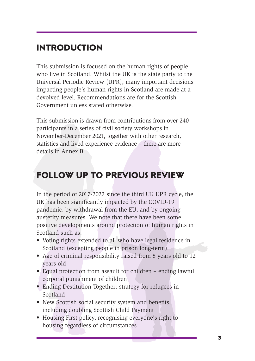# **INTRODUCTION**

This submission is focused on the human rights of people who live in Scotland. Whilst the UK is the state party to the Universal Periodic Review (UPR), many important decisions impacting people's human rights in Scotland are made at a devolved level. Recommendations are for the Scottish Government unless stated otherwise.

This submission is drawn from contributions from over 240 participants in a series of civil society workshops in November-December 2021, together with other research, statistics and lived experience evidence – there are more details in Annex B.

# **FOLLOW UP TO PREVIOUS REVIEW**

impacting people's human<br>devolved level. Recommenc<br>Government unless stated c<br>This submission is drawn fr<br>participants in a series of civ<br>November-December 2021, i<br>statistics and lived experienc<br>details in Annex B.<br>**FOLLOW** Universal Penotic Review (UPR), many important decisions<br>
impacting people's human rights in Scotland are made at a<br>
devolved level. Recommendations are for the Scottish<br>
Government unless stated otherwise.<br>
This submissio In the period of 2017-2022 since the third UK UPR cycle, the UK has been significantly impacted by the COVID-19 pandemic, by withdrawal from the EU, and by ongoing austerity measures. We note that there have been some positive developments around protection of human rights in Scotland such as: **OLLOW UP TO PREVIOUS REVIEW**<br>the period of 2017-2022 since the third UK UPR cycle, the<br>Chas been significantly impacted by the COVID-19<br>ndemic, by withdrawal from the EU, and by ongoing<br>stirty measures. We note that there

- Voting rights extended to all who have legal residence in Scotland (excepting people in prison long-term)
- Age of criminal responsibility raised from 8 years old to 12 years old
- Equal protection from assault for children ending lawful corporal punishment of children
- Ending Destitution Together: strategy for refugees in Scotland
- New Scottish social security system and benefits, including doubling Scottish Child Payment
- Housing First policy, recognising everyone's right to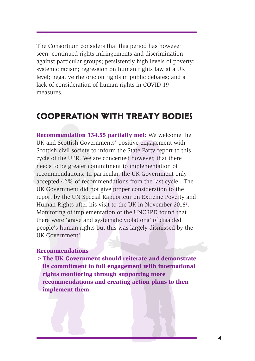The Consortium considers that this period has however seen: continued rights infringements and discrimination against particular groups; persistently high levels of poverty; systemic racism; regression on human rights law at a UK level; negative rhetoric on rights in public debates; and a lack of consideration of human rights in COVID-19 measures.

# **COOPERATION WITH TREATY BODIES**

**COOPERATION W**<br>
measures.<br> **COOPERATION W**<br>
Recommendation 134.55<br>
UK and Scottish Governme<br>
Scottish civil society to info<br>
cycle of the UPR. We are co<br>
needs to be greater commit<br>
recommendations. In partic<br>
accepted 42 lack of consideration of human rights in COVID-19<br>measures.<br> **COOPERATION WITH TREATY BODIES**<br> **Recommendation 134.55 partially met:** We welcome the<br>
UK and Scottish Governments' positive engagement with<br>
Scottish civil so **Recommendation 134.55 partially met:** We welcome the UK and Scottish Governments' positive engagement with Scottish civil society to inform the State Party report to this cycle of the UPR. We are concerned however, that there needs to be greater commitment to implementation of recommendations. In particular, the UK Government only accepted 42% of recommendations from the last cycle<sup>1</sup>. The UK Government did not give proper consideration to the report by the UN Special Rapporteur on Extreme Poverty and Human Rights after his visit to the UK in November 2018<sup>2</sup>. Monitoring of implementation of the UNCRPD found that there were 'grave and systematic violations' of disabled people's human rights but this was largely dismissed by the UK Government<sup>3</sup>. cle of the UPR. We are concerned however, that there expected to be greater commitment to implementation of commendations. In particular, the UK Government only cepted 42% of recommendations from the last cycle<sup>1</sup>. The Gov

#### **Recommendations**

**>The UK Government should reiterate and demonstrate its commitment to full engagement with international rights monitoring through supporting more recommendations and creating action plans to then**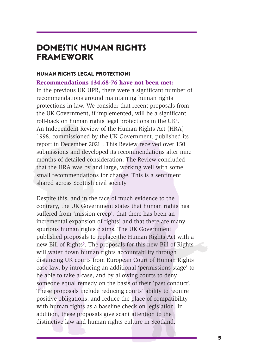## **DOMESTIC HUMAN RIGHTS FRAMEWORK**

#### **HUMAN RIGHTS LEGAL PROTECTIONS**

**Recommendations 134.68-76 have not been met:** 

In the previous UK UPR, there were a significant number of recommendations around maintaining human rights protections in law. We consider that recent proposals from the UK Government, if implemented, will be a significant roll-back on human rights legal protections in the UK<sup>4</sup>. An Independent Review of the Human Rights Act (HRA) 1998, commissioned by the UK Government, published its report in December 2021<sup>5</sup>. This Review received over 150 submissions and developed its recommendations after nine months of detailed consideration. The Review concluded that the HRA was by and large, working well with some small recommendations for change. This is a sentiment shared across Scottish civil society.

In the previous UK UPR, the<br>recommendations around n<br>protections in law. We cons<br>the UK Government, if impi<br>roll-back on human rights l<br>An Independent Review of<br>1998, commissioned by the<br>report in December 2021<sup>5</sup>. T<br>submi Recommendations 134.68-76 have not been met:<br>In the previous UK UPR, there were a significant number of<br>recommendations around maintaining human rights<br>protections in law. We consider that recent proposals from<br>the UK Gov Despite this, and in the face of much evidence to the contrary, the UK Government states that human rights has suffered from 'mission creep', that there has been an incremental expansion of rights' and that there are many spurious human rights claims. The UK Government published proposals to replace the Human Rights Act with a new Bill of Rights<sup>6</sup>. The proposals for this new Bill of Rights will water down human rights accountability through distancing UK courts from European Court of Human Rights case law, by introducing an additional 'permissions stage' to be able to take a case, and by allowing courts to deny someone equal remedy on the basis of their 'past conduct'. These proposals include reducing courts' ability to require positive obligations, and reduce the place of compatibility with human rights as a baseline check on legislation. In addition, these proposals give scant attention to the months of detailed consideration. The Review concluded<br>that the HRA was by and large, working well with some<br>small recommendations for change. This is a sentiment<br>shared across Scottish civil society.<br>Despite this, and in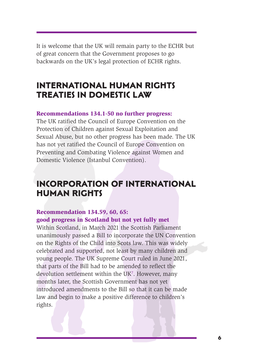It is welcome that the UK will remain party to the ECHR but of great concern that the Government proposes to go backwards on the UK's legal protection of ECHR rights.

# **INTERNATIONAL HUMAN RIGHTS TREATIES IN DOMESTIC LAW**

#### **Recommendations 134.1-50 no further progress:**

The UK ratified the Council of Europe Convention on the Protection of Children against Sexual Exploitation and Sexual Abuse, but no other progress has been made. The UK has not yet ratified the Council of Europe Convention on Preventing and Combating Violence against Women and Domestic Violence (Istanbul Convention).

# **INCORPORATION OF INTERNATIONAL HUMAN RIGHTS**

#### **Recommendation 134.59, 60, 65: good progress in Scotland but not yet fully met**

**TREATIES IN DOMALE TREATIES IN DOM**<br> **EREATIES IN DOM**<br> **EREATIES IN DOM**<br> **EREATIES IN DOM**<br> **EREATIES IN DOM**<br> **EREATIES IN DOM**<br> **EREATIES IN DOM**<br> **EREATIES IN DOM**<br> **EREATIES EXECUTE AND**<br> **EXECUTE AND**<br> **EXECUTED INTERNATIONAL HUMAN RIGHTS**<br> **TREATIES IN DOMESTIC LAW**<br>
Recommendations 134.1-50 no further progress:<br>
The UK ratified the Council of Europe Convention on the<br>
Protection of Children against Sexual Exploitation and<br>
Sexu Within Scotland, in March 2021 the Scottish Parliament unanimously passed a Bill to incorporate the UN Convention on the Rights of the Child into Scots law. This was widely celebrated and supported, not least by many children and young people. The UK Supreme Court ruled in June 2021, that parts of the Bill had to be amended to reflect the devolution settlement within the UK<sup>7</sup>. However, many months later, the Scottish Government has not yet introduced amendments to the Bill so that it can be made law and begin to make a positive difference to children's Domestic Violence (Istanbul Convention).<br> **INCORPORATION OF INTERNATIONAL**<br> **HUMAN RIGHTS**<br> **Recommendation 134.59, 60, 65:**<br> **Recommendation 134.59, 60, 65:**<br> **Recommendation**, in March 2021 the Scottish Parliament<br>
Winth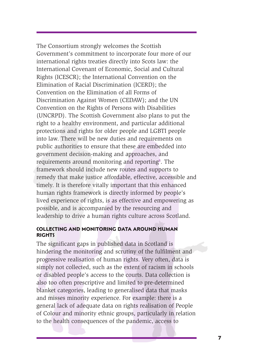Eminiation of Nactal Discrimation<br>Convention on the Eliminat<br>Discrimination Against Wool<br>Convention on the Rights o<br>(UNCRPD). The Scottish Geright to a healthy environm<br>protections and rights for o<br>into law. There will be Elimination of Racial Discrimination (ICERD): the<br>Convention on the Elimination of all Forms of<br>Discrimination and Elimination of all Forms of<br>Discrimination Against Women (CEDAW); and the UN<br>Convention on the Rights of Pe The Consortium strongly welcomes the Scottish Government's commitment to incorporate four more of our international rights treaties directly into Scots law: the International Covenant of Economic, Social and Cultural Rights (ICESCR); the International Convention on the Elimination of Racial Discrimination (ICERD); the Convention on the Elimination of all Forms of Discrimination Against Women (CEDAW); and the UN Convention on the Rights of Persons with Disabilities (UNCRPD). The Scottish Government also plans to put the right to a healthy environment, and particular additional protections and rights for older people and LGBTI people into law. There will be new duties and requirements on public authorities to ensure that these are embedded into government decision-making and approaches, and requirements around monitoring and reporting<sup>8</sup>. The framework should include new routes and supports to remedy that make justice affordable, effective, accessible and timely. It is therefore vitally important that this enhanced human rights framework is directly informed by people's lived experience of rights, is as effective and empowering as possible, and is accompanied by the resourcing and leadership to drive a human rights culture across Scotland.

#### **COLLECTING AND MONITORING DATA AROUND HUMAN RIGHTS**

The significant gaps in published data in Scotland is hindering the monitoring and scrutiny of the fulfilment and progressive realisation of human rights. Very often, data is simply not collected, such as the extent of racism in schools or disabled people's access to the courts. Data collection is also too often prescriptive and limited to pre-determined blanket categories, leading to generalised data that masks and misses minority experience. For example: there is a general lack of adequate data on rights realisation of People of Colour and minority ethnic groups, particularly in relation requirements around monitoring and reporting<sup>4</sup>. The framework should include new routes and supports to temped that make justice arfordable, effective, accessible and timely. It is therefore virially important that this e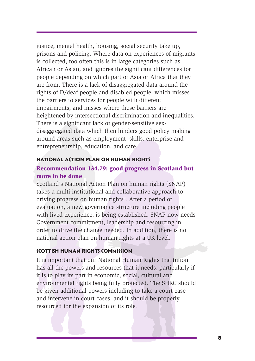are noni. There is a tack of<br>rights of D/deaf people and<br>the barirest to services for prights<br>impairments, and misses w<br>heightened by intersectiona<br>There is a significant lack of<br>disaggregated data which th<br>around areas su are from. There is a lack of disaggregated data around the rights of D/deal people and disabled people, which misses the barriers to services for people with different impairments, and misses where these barriers are heigh justice, mental health, housing, social security take up, prisons and policing. Where data on experiences of migrants is collected, too often this is in large categories such as African or Asian, and ignores the significant differences for people depending on which part of Asia or Africa that they are from. There is a lack of disaggregated data around the rights of D/deaf people and disabled people, which misses the barriers to services for people with different impairments, and misses where these barriers are heightened by intersectional discrimination and inequalities. There is a significant lack of gender-sensitive sexdisaggregated data which then hinders good policy making around areas such as employment, skills, enterprise and entrepreneurship, education, and care.

#### **NATIONAL ACTION PLAN ON HUMAN RIGHTS**

#### **Recommendation 134.79: good progress in Scotland but more to be done**

Scotland's National Action Plan on human rights (SNAP) takes a multi-institutional and collaborative approach to driving progress on human rights<sup>9</sup>. After a period of evaluation, a new governance structure including people with lived experience, is being established. SNAP now needs Government commitment, leadership and resourcing in order to drive the change needed. In addition, there is no national action plan on human rights at a UK level. **RATIONAL ACTION PLAN ON HUMAN RIGHTS**<br>**Recommendation 134.79: good progress in Scotland but**<br>more to be done<br>Scotland's National Action Plan on human rights (SNAP)<br>takes a multi-institutional and collaborative approach to

#### **SCOTTISH HUMAN RIGHTS COMMISSION**

It is important that our National Human Rights Institution has all the powers and resources that it needs, particularly if it is to play its part in economic, social, cultural and environmental rights being fully protected. The SHRC should be given additional powers including to take a court case and intervene in court cases, and it should be properly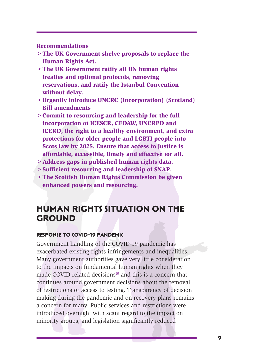**Recommendations**

- **>The UK Government shelve proposals to replace the Human Rights Act.**
- **>The UK Government ratify all UN human rights treaties and optional protocols, removing reservations, and ratify the Istanbul Convention without delay.**
- **>Urgently introduce UNCRC (Incorporation) (Scotland) Bill amendments**
- **>Commit to resourcing and leadership for the full incorporation of ICESCR, CEDAW, UNCRPD and ICERD, the right to a healthy environment, and extra protections for older people and LGBTI people into Scots law by 2025. Ensure that access to justice is affordable, accessible, timely and effective for all.**
- **>Address gaps in published human rights data.**
- **>Sufficient resourcing and leadership of SNAP.**
- **>The Scottish Human Rights Commission be given enhanced powers and resourcing.**

## **HUMAN RIGHTS SITUATION ON THE GROUND**

#### **RESPONSE TO COVID-19 PANDEMIC**

reservations, and rating<br>
without delay.<br>
> Urgently introduce UNC<br>
Bill amendments<br>
> Commit to resourcing a<br>
incorporation of ICESC<br>
ICERD, the right to a h<br>
protections for older pe<br>
Scots law by 2025. Ensi<br>
affordable, reservations, and ratify the Istanbul Convention<br>
without delay.<br>
> Urgently introduce UNCRC (Incorporation) (Scotland)<br>
Bill amendments<br>
> Commit to resourcing and leadership for the full<br>
incorporation of ICESCR, CEDAW, Government handling of the COVID-19 pandemic has exacerbated existing rights infringements and inequalities. Many government authorities gave very little consideration to the impacts on fundamental human rights when they made COVID-related decisions<sup>10</sup> and this is a concern that continues around government decisions about the removal of restrictions or access to testing. Transparency of decision making during the pandemic and on recovery plans remains a concern for many. Public services and restrictions were introduced overnight with scant regard to the impact on Saddress gaps in published human rights data.<br>
Saufficient resourcing and leadership of SNAP.<br>
The Scottish Human Rights Commission be given<br>
enhanced powers and resourcing.<br>
HUMAN RIGHTS SITUATION ON THE<br>
GROUND<br>
RESPONSE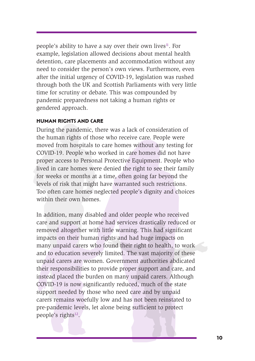people's ability to have a say over their own lives $\mathfrak{u}$ . For example, legislation allowed decisions about mental health detention, care placements and accommodation without any need to consider the person's own views. Furthermore, even after the initial urgency of COVID-19, legislation was rushed through both the UK and Scottish Parliaments with very little time for scrutiny or debate. This was compounded by pandemic preparedness not taking a human rights or gendered approach.

#### **HUMAN RIGHTS AND CARE**

During the pandemic, there was a lack of consideration of the human rights of those who receive care. People were moved from hospitals to care homes without any testing for COVID-19. People who worked in care homes did not have proper access to Personal Protective Equipment. People who lived in care homes were denied the right to see their family for weeks or months at a time, often going far beyond the levels of risk that might have warranted such restrictions. Too often care homes neglected people's dignity and choices within their own homes.

mough bout the ok and so<br>time for scrutiny or debate.<br>pandemic preparedness not<br>gendered approach.<br>**HUMAN RIGHTS AND CARE**<br>During the pandemic, there<br>the human rights of those v<br>moved from hospitals to ca<br>COVID-19. People through both the UK and Scottish Parliaments with very little<br>time for scrutiny or debate. This was compounded by<br>pandemic preparedness not taking a human rights or<br>gendered approach.<br>**HUMAN RIGHTS AND CARE**<br>During the pan In addition, many disabled and older people who received care and support at home had services drastically reduced or removed altogether with little warning. This had significant impacts on their human rights and had huge impacts on many unpaid carers who found their right to health, to work and to education severely limited. The vast majority of these unpaid carers are women. Government authorities abdicated their responsibilities to provide proper support and care, and instead placed the burden on many unpaid carers. Although COVID-19 is now significantly reduced, much of the state support needed by those who need care and by unpaid carers remains woefully low and has not been reinstated to pre-pandemic levels, let alone being sufficient to protect proper access to Personal Protective Equipment. People who<br>lived in care homes were denied the right to see their family<br>for weeks or months at a time, of<br>the right of see their family felevels of risk that might have warr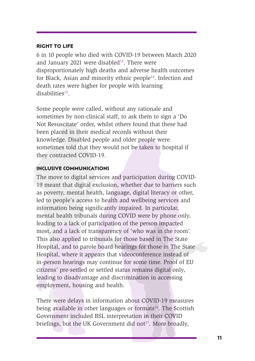#### **RIGHT TO LIFE**

6 in 10 people who died with COVID-19 between March 2020 and January 2021 were disabled $13$ . There were disproportionately high deaths and adverse health outcomes for Black, Asian and minority ethnic people<sup>14</sup>. Infection and death rates were higher for people with learning disabilities15.

Some people were called, without any rationale and sometimes by non-clinical staff, to ask them to sign a 'Do Not Resuscitate' order, whilst others found that these had been placed in their medical records without their knowledge. Disabled people and older people were sometimes told that they would not be taken to hospital if they contracted COVID-19.

#### **INCLUSIVE COMMUNICATIONS**

death rates were nigher for<br>disabilities<sup>15</sup>.<br>Some people were called, w<br>sometimes by non-clinical s<br>Not Resuscitate' order, while<br>been placed in their medica<br>knowledge. Disabled people<br>sometimes told that they w<br>they cont death rates were higher for people with learning<br>disabilities".<br>Some people were called, without any rationale and<br>sometimes by non-clinical staff, to ask them to sign a 'Do<br>Not Resuscitate' order, whilst others found that The move to digital services and participation during COVID-19 meant that digital exclusion, whether due to barriers such as poverty, mental health, language, digital literacy or other, led to people's access to health and wellbeing services and information being significantly impaired. In particular, mental health tribunals during COVID were by phone only, leading to a lack of participation of the person impacted most, and a lack of transparency of 'who was in the room'. This also applied to tribunals for those based in The State Hospital, and to parole board hearings for those in The State Hospital, where it appears that videoconference instead of in-person hearings may continue for some time. Proof of EU citizens' pre-settled or settled status remains digital only, leading to disadvantage and discrimination in accessing employment, housing and health. **EXECTS COMMUNICATIONS**<br>The move to digital services and participation during COVID-The move to digital services and participation during COVID-The meant that digital exclusion, whether due to barriers such as poverty, men

There were delays in information about COVID-19 measures being available in other languages or formats<sup>16</sup>. The Scottish Government included BSL interpretation in their COVID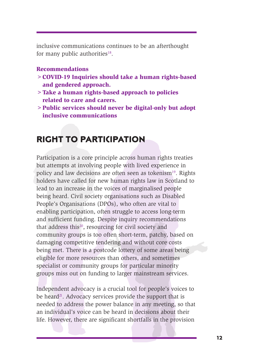inclusive communications continues to be an afterthought for many public authorities<sup>18</sup>.

#### **Recommendations**

- **>COVID-19 Inquiries should take a human rights-based and gendered approach.**
- **>Take a human rights-based approach to policies related to care and carers.**
- **>Public services should never be digital-only but adopt inclusive communications**

# **RIGHT TO PARTICIPATION**

**Example 12**<br>
Fake a human rights-barelated to care and care and care<br>
Felict services should<br>
inclusive communication<br>
inclusive communication<br>
ENGHT TO PARTIC<br>
Participation is a core princ<br>
but attempts at involving p<br> and gendered approach.<br>
> Take a human right-based approach to policies<br>
related to care and carers.<br>
> Public services should never be digital-only but adopt<br>
inclusive communications<br> **RIGHT TO PARTICIPATION**<br>
Participa Participation is a core principle across human rights treaties but attempts at involving people with lived experience in policy and law decisions are often seen as tokenism<sup>19</sup>. Rights holders have called for new human rights law in Scotland to lead to an increase in the voices of marginalised people being heard. Civil society organisations such as Disabled People's Organisations (DPOs), who often are vital to enabling participation, often struggle to access long-term and sufficient funding. Despite inquiry recommendations that address this $20$ , resourcing for civil society and community groups is too often short-term, patchy, based on damaging competitive tendering and without core costs being met. There is a postcode lottery of some areas being eligible for more resources than others, and sometimes specialist or community groups for particular minority groups miss out on funding to larger mainstream services. Participation is a core principle across human rights treaties<br>but attempts at involving people with lived experience in<br>policy and law decisions are often seen as tokenism<sup>19</sup>. Rights<br>holders have called for new human rig

Independent advocacy is a crucial tool for people's voices to be heard<sup>21</sup>. Advocacy services provide the support that is needed to address the power balance in any meeting, so that an individual's voice can be heard in decisions about their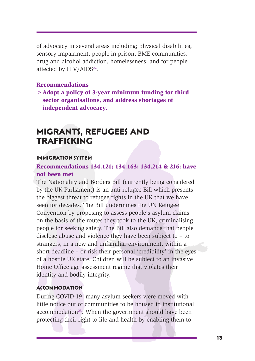of advocacy in several areas including; physical disabilities, sensory impairment, people in prison, BME communities, drug and alcohol addiction, homelessness; and for people affected by HIV/AIDS<sup>22</sup>.

#### **Recommendations**

**>Adopt a policy of 3-year minimum funding for third sector organisations, and address shortages of independent advocacy.**

# **MIGRANTS, REFUGEES AND TRAFFICKING**

#### **IMMIGRATION SYSTEM**

#### **Recommendations 134.121; 134.163; 134.214 & 216: have not been met**

Solutions and a model of 3-year<br>
Solution a policy of 3-year<br>
sector organisations, and<br>
independent advocacy.<br> **MIGRANTS, REFU**<br> **TRAFFICKING**<br>
IMMIGRATION SYSTEM<br>
Recommendations 134.12<br>
not been met<br>
The Nationality and Recommendations<br>
> Adopt a policy of 3-year minimum funding for third<br>
> efector organisations, and address shortages of<br>
independent advocacy.<br>
<br> **MIGRANTS, REFUGEES AND**<br> **TRAFFICKING**<br>
INMIGRATION SYSTEM<br>
Recommendatio The Nationality and Borders Bill (currently being considered by the UK Parliament) is an anti-refugee Bill which presents the biggest threat to refugee rights in the UK that we have seen for decades. The Bill undermines the UN Refugee Convention by proposing to assess people's asylum claims on the basis of the routes they took to the UK, criminalising people for seeking safety. The Bill also demands that people disclose abuse and violence they have been subject to – to strangers, in a new and unfamiliar environment, within a short deadline – or risk their personal 'credibility' in the eyes of a hostile UK state. Children will be subject to an invasive Home Office age assessment regime that violates their identity and bodily integrity. **EXERTION SYTEM**<br> **Recommendations 134.121; 134.163; 134.214 & 216: have**<br> **Recommendations 134.121; 134.163; 134.214 & 216: have**<br> **not** been met<br>
the biggest threat to refugee Fights in the UK hat we have<br>
the biggest th

#### **ACCOMMODATION**

During COVID-19, many asylum seekers were moved with little notice out of communities to be housed in institutional  $accommunication<sup>23</sup>$ . When the government should have been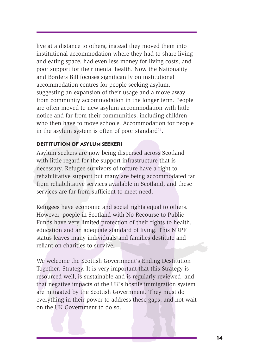accommodation centres for people seeking asylum,<br>suggesting anylum,<br>suggesting an expansion of their usage and a move away<br>from community accommodation in the longer term. People<br>are often moved to new asylum accommodatio live at a distance to others, instead they moved them into institutional accommodation where they had to share living and eating space, had even less money for living costs, and poor support for their mental health. Now the Nationality and Borders Bill focuses significantly on institutional accommodation centres for people seeking asylum, suggesting an expansion of their usage and a move away from community accommodation in the longer term. People are often moved to new asylum accommodation with little notice and far from their communities, including children who then have to move schools. Accommodation for people in the asylum system is often of poor standard<sup>24</sup>.

#### **DESTITUTION OF ASYLUM SEEKERS**

Asylum seekers are now being dispersed across Scotland with little regard for the support infrastructure that is necessary. Refugee survivors of torture have a right to rehabilitative support but many are being accommodated far from rehabilitative services available in Scotland, and these services are far from sufficient to meet need.

Refugees have economic and social rights equal to others. However, poeple in Scotland with No Recourse to Public Funds have very limited protection of their rights to health, education and an adequate standard of living. This NRPF status leaves many individuals and families destitute and reliant on charities to survive.

accommodaton centres for suggesting an expansion of from community accommon<br>are often moved to new asy<br>notice and far from their common<br>notice and far from their combined in the asylum system is ofte<br>**DESTITUTION OF ASYLUM** We welcome the Scottish Government's Ending Destitution Together: Strategy. It is very important that this Strategy is resourced well, is sustainable and is regularly reviewed, and that negative impacts of the UK's hostile immigration system are mitigated by the Scottish Government. They must do everything in their power to address these gaps, and not wait with little regard for the support infrastructure that is<br>necessary. Refugee survivors of torture have a right to<br>rehabilitative support but many are being accommodated far<br>from rehabilitative services available in Scotlan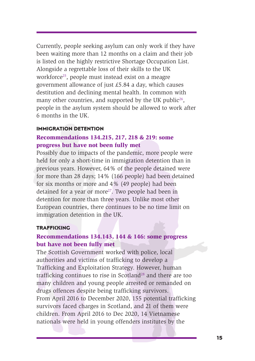Currently, people seeking asylum can only work if they have been waiting more than 12 months on a claim and their job is listed on the highly restrictive Shortage Occupation List. Alongside a regrettable loss of their skills to the UK workforce<sup>25</sup>, people must instead exist on a meagre government allowance of just £5.84 a day, which causes destitution and declining mental health. In common with many other countries, and supported by the UK public<sup>26</sup>, people in the asylum system should be allowed to work after 6 months in the UK.

#### **IMMIGRATION DETENTION**

#### **Recommendations 134.215, 217, 218 & 219: some progress but have not been fully met**

Possibly due to impacts of the pandemic, more people were held for only a short-time in immigration detention than in previous years. However, 64% of the people detained were for more than 28 days; 14% (166 people) had been detained for six months or more and 4% (49 people) had been detained for a year or more<sup>27</sup>. Two people had been in detention for more than three years. Unlike most other European countries, there continues to be no time limit on immigration detention in the UK.

#### **TRAFFICKING**

#### **Recommendations 134.143, 144 & 146: some progress but have not been fully met**

government anowance of jt<br>destitution and declining m<br>many other countries, and :<br>people in the asylum syster<br>6 months in the UK.<br>**IMMIGRATION DETENTION**<br>**Recommendations 134.21**<br>**Progress but have not bee**<br>Possibly due to government allowance of just £5.84 a day, which causes<br>destitution and declining mental health. In common with<br>many other countries, and supported by the UK public<sup>36</sup>,<br>people in the asylum system should be allowed to wor The Scottish Government worked with police, local authorities and victims of trafficking to develop a Trafficking and Exploitation Strategy. However, human trafficking continues to rise in Scotland<sup>28</sup> and there are too many children and young people arrested or remanded on drugs offences despite being trafficking survivors. From April 2016 to December 2020, 155 potential trafficking survivors faced charges in Scotland, and 21 of them were children. From April 2016 to Dec 2020, 14 Vietnamese held for only a short-time in immigration detention than in<br>previous years. However, 64% of the people detained were<br>for more than 28 days; 14% (166 people) had been detained<br>for six months or more and 4% (49 people) had b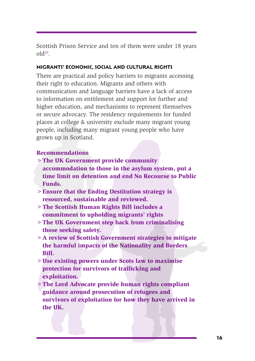Scottish Prison Service and ten of them were under 18 years  $old<sup>29</sup>$ .

#### **MIGRANTS' ECONOMIC, SOCIAL AND CULTURAL RIGHTS**

nomination and langua<br>communication and langua<br>to information and langua<br>to information and langua<br>to information, and mech<br>or secure advocacy. The res<br>places at college & universi<br>people, including many mig<br>grown up in Sc their right to education. Migrants and others with<br>communication and language barriers have a lack of access<br>to information and anguage barriers have a lack of access<br>or secure advocacy. The residency requirements for furt There are practical and policy barriers to migrants accessing their right to education. Migrants and others with communication and language barriers have a lack of access to information on entitlement and support for further and higher education, and mechanisms to represent themselves or secure advocacy. The residency requirements for funded places at college & university exclude many migrant young people, including many migrant young people who have grown up in Scotland.

#### **Recommendations**

- **>The UK Government provide community accommodation to those in the asylum system, put a time limit on detention and end No Recourse to Public Funds.** The UK Government provide community<br>accommodation to those in the asylum system, put a<br>time limit on detention and end No Recourse to Public<br>funds.<br>Ensure that the Ending Destitution strategy is<br>resourced, sustainable and
- **>Ensure that the Ending Destitution strategy is resourced, sustainable and reviewed.**
- **>The Scottish Human Rights Bill includes a commitment to upholding migrants' rights**
- **>The UK Government step back from criminalising those seeking safety.**
- **>A review of Scottish Government strategies to mitigate the harmful impacts of the Nationality and Borders Bill.**
- **>Use existing powers under Scots law to maximise protection for survivors of trafficking and exploitation.**
- **>The Lord Advocate provide human rights compliant guidance around prosecution of refugees and survivors of exploitation for how they have arrived in**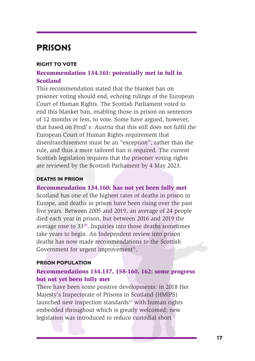# **PRISONS**

#### **RIGHT TO VOTE**

#### **Recommendation 134.161: potentially met in full in Scotland**

This recommendation state<br>prisoner voting should end,<br>Court of Human Rights. Th<br>end this blanket ban, enabl<br>of 12 months or less, to vot<br>that based on *Frodl v. Austr*<br>European Court of Human<br>disenfranchisement must be<br>rul **Scotland** Rase Table and the blanket ban on prisoner voting should end, echoing rulings of the European Court of Human Rights. The Socustia Parliament voted to end this blanket ban, enabling those in prison on sentences This recommendation stated that the blanket ban on prisoner voting should end, echoing rulings of the European Court of Human Rights. The Scottish Parliament voted to end this blanket ban, enabling those in prison on sentences of 12 months or less, to vote. Some have argued, however, that based on *Frodl v. Austria* that this still does not fulfil the European Court of Human Rights requirement that disenfranchisement must be an "exception", rather than the rule, and thus a more tailored ban is required. The current Scottish legislation requires that the prisoner voting rights are reviewed by the Scottish Parliament by 4 May 2023.

#### **DEATHS IN PRISON**

#### **Recommendation 134.160: has not yet been fully met**

Scotland has one of the highest rates of deaths in prison in Europe, and deaths in prison have been rising over the past five years. Between 2005 and 2019, an average of 24 people died each year in prison, but between 2016 and 2019 the average rose to  $33^{30}$ . Inquiries into those deaths sometimes take years to begin. An Independent review into prison deaths has now made recommendations to the Scottish Government for urgent improvement $31$ . Scottish legislation requires that the prisoner voting rights<br>are reviewed by the Scottish Parliament by 4 May 2023.<br>**DEATHS IN PRISON**<br>Recommendation 134.160: has not yet been fully met<br>Recommendation 134.160: has not yet

#### **PRISON POPULATION**

#### **Recommendations 134.137, 158-160, 162: some progress but not yet been fully met**

There have been some positive developments: in 2018 Her Majesty's Inspectorate of Prisons in Scotland (HMIPS) launched new inspection standards $32$  with human rights embedded throughout which is greatly welcomed; new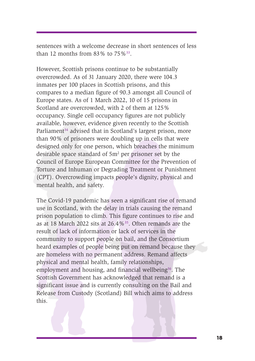sentences with a welcome decrease in short sentences of less than 12 months from 83% to  $75\%$ <sup>33</sup>.

inmates per 100 places in Scottish prisons, and this<br>comprese to a median figure of 90.3 amongst all Council of<br>Europe states. As of 1 March 2022, 10 of 15 prisons in<br>Scotland are overcrowded, with 2 of them at 125%<br>occup However, Scottish prisons continue to be substantially overcrowded. As of 31 January 2020, there were 104.3 inmates per 100 places in Scottish prisons, and this compares to a median figure of 90.3 amongst all Council of Europe states. As of 1 March 2022, 10 of 15 prisons in Scotland are overcrowded, with 2 of them at 125% occupancy. Single cell occupancy figures are not publicly available, however, evidence given recently to the Scottish Parliament<sup>34</sup> advised that in Scotland's largest prison, more than 90% of prisoners were doubling up in cells that were designed only for one person, which breaches the minimum desirable space standard of  $5m<sup>2</sup>$  per prisoner set by the Council of Europe European Committee for the Prevention of Torture and Inhuman or Degrading Treatment or Punishment (CPT). Overcrowding impacts people's dignity, physical and mental health, and safety.

imates per 100 places in 3<br>compares to a median figur<br>Europe states. As of 1 Marc<br>Scotland are overcrowded,<br>occupancy. Single cell occu<br>available, however, evidence<br>Parliament<sup>34</sup> advised that in<br>than 90% of prisoners were The Covid-19 pandemic has seen a significant rise of remand use in Scotland, with the delay in trials causing the remand prison population to climb. This figure continues to rise and as at 18 March 2022 sits at 26.4%35. Often remands are the result of lack of information or lack of services in the community to support people on bail, and the Consortium heard examples of people being put on remand because they are homeless with no permanent address. Remand affects physical and mental health, family relationships, employment and housing, and financial wellbeing<sup>36</sup>. The Scottish Government has acknowledged that remand is a significant issue and is currently consulting on the Bail and Release from Custody (Scotland) Bill which aims to address Council of Europe European Committee for the Prevention of Torture and Inhuman or Degrading Treatment or Punishment (CPT). Overcrowding impacts people's dignity, physical and mental health, and safety.<br>The Covid-19 pandemi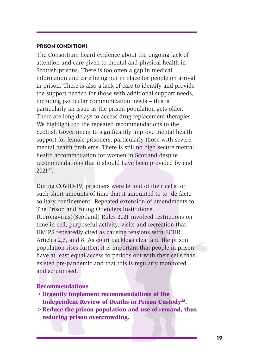#### **PRISON CONDITIONS**

in prison. There is also a lack of care to identify and provide<br>the support meeded for those with additional support needs,<br>including particular communication needs – this is<br>particularly an issue as the prison population The Consortium heard evidence about the ongoing lack of attention and care given to mental and physical health in Scottish prisons. There is too often a gap in medical information and care being put in place for people on arrival in prison. There is also a lack of care to identify and provide the support needed for those with additional support needs, including particular communication needs – this is particularly an issue as the prison population gets older. There are long delays to access drug replacement therapies. We highlight too the repeated recommendations to the Scottish Government to significantly improve mental health support for female prisoners, particularly those with severe mental health problems. There is still no high secure mental health accommodation for women in Scotland despite recommendations that it should have been provided by end 202137.

In prison. There is also a la<br>the support needed for thos<br>including particular commu<br>particularly an issue as the<br>There are long delays to acc<br>We highlight too the repadt<br>Scottish Government to sig<br>support for female pris During COVID-19, prisoners were let out of their cells for such short amounts of time that it amounted to to 'de facto solitary confinement'. Repeated extension of amendments to The Prison and Young Offenders Institutions (Coronavirus)(Scotland) Rules 2021 involved restrictions on time in cell, purposeful activity, visits and recreation that HMIPS repeatedly cited as causing tensions with ECHR Articles 2,3, and 8. As court backlogs clear and the prison population rises further, it is important that people in prison have at least equal access to periods out with their cells than existed pre-pandemic and that this is regularly monitored and scrutinised. and accounted and the theories of the method of their and accounted accounted above.<br> **removementations that it should have been provided by end**<br> **Particulary confinement'.** Repeated extension of amendments to<br> **e** Prison

#### **Recommendations**

- **>Urgently implement recommendations of the Independent Review of Deaths in Prison Custody38.**
- **>Reduce the prison population and use of remand, thus**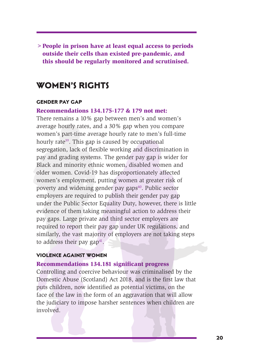**>People in prison have at least equal access to periods outside their cells than existed pre-pandemic, and this should be regularly monitored and scrutinised.**

# **WOMEN'S RIGHTS**

#### **GENDER PAY GAP**

#### **Recommendations 134.175-177 & 179 not met:**

**CENDER PAY GAP**<br> **CENDER PAY GAP**<br> **Recommendations 134.17**<br>
There remains a 10% gap b<br>
average hourly rates, and a<br>
women's part-time average<br>
hourly rate<sup>39</sup>. This gap is ca<br>
segregation, lack of flexible<br>
pay and gradi **WOMEN'S RIGHTS**<br>**CENDER PAY GAP**<br>**Recommendations** 134.175-177 & 179 not met:<br>There remains a 10% gap between men's and women's<br>there remains a 10% gap between men's and women-is<br>average hourly rates, and a 30% gap when There remains a 10% gap between men's and women's average hourly rates, and a 30% gap when you compare women's part-time average hourly rate to men's full-time hourly rate<sup>39</sup>. This gap is caused by occupational segregation, lack of flexible working and discrimination in pay and grading systems. The gender pay gap is wider for Black and minority ethnic women, disabled women and older women. Covid-19 has disproportionately affected women's employment, putting women at greater risk of poverty and widening gender pay gaps<sup>40</sup>. Public sector employers are required to publish their gender pay gap under the Public Sector Equality Duty, however, there is little evidence of them taking meaningful action to address their pay gaps. Large private and third sector employers are required to report their pay gap under UK regulations, and similarly, the vast majority of employers are not taking steps to address their pay  $gap^{41}$ . pay anne grading systems. In egencer pay app is wider for<br>Black and minority ethnic women, disabled women and<br>older women. Covid-19 has disproportionately affected<br>women's employment, putting women at greater risk of<br>pover

#### **VIOLENCE AGAINST WOMEN**

#### **Recommendations 134.181 significant progress**

Controlling and coercive behaviour was criminalised by the Domestic Abuse (Scotland) Act 2018, and is the first law that puts children, now identified as potential victims, on the face of the law in the form of an aggravation that will allow the judiciary to impose harsher sentences when children are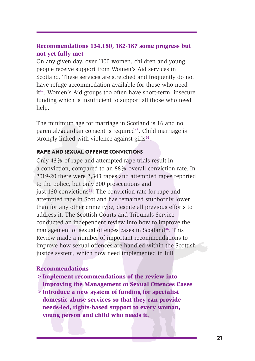#### **Recommendations 134.180, 182-187 some progress but not yet fully met**

On any given day, over 1100 women, children and young people receive support from Women's Aid services in Scotland. These services are stretched and frequently do not have refuge accommodation available for those who need it<sup>42</sup>. Women's Aid groups too often have short-term, insecure funding which is insufficient to support all those who need help.

The minimum age for marriage in Scotland is 16 and no parental/guardian consent is required $43$ . Child marriage is strongly linked with violence against girls<sup>44</sup>.

#### **RAPE AND SEXUAL OFFENCE CONVICTIONS**

The minimum age for marriagn and the Managemont Simplement Pack and Simplement Simplement Pack and Simplement Simplement Simplement Simplement Pack and the police, but only 300 just 130 convictions<sup>45</sup>. The attempted rap i have refuge accommodation available for those who need<br>it<sup>2</sup>. Women's Aid groups too often have short-term, insecure<br>funding which is insufficient to support all those who need<br>funding which is insufficient to support all Only 43% of rape and attempted rape trials result in a conviction, compared to an 88% overall conviction rate. In 2019-20 there were 2,343 rapes and attempted rapes reported to the police, but only 300 prosecutions and just 130 convictions<sup>45</sup>. The conviction rate for rape and attempted rape in Scotland has remained stubbornly lower than for any other crime type, despite all previous efforts to address it. The Scottish Courts and Tribunals Service conducted an independent review into how to improve the management of sexual offences cases in Scotland<sup>46</sup>. This Review made a number of important recommendations to improve how sexual offences are handled within the Scottish justice system, which now need implemented in full. ray 43% of rape and attempted rape trials result in conviction, compared to an 88% overall conviction rate. In the police, were 2,343 rapes and attempted rapes reported the police, but only 300 prosecutions and the police,

#### **Recommendations**

- **>Implement recommendations of the review into**
- **Improving the Management of Sexual Offences Cases**
- **>Introduce a new system of funding for specialist domestic abuse services so that they can provide needs-led, rights-based support to every woman,**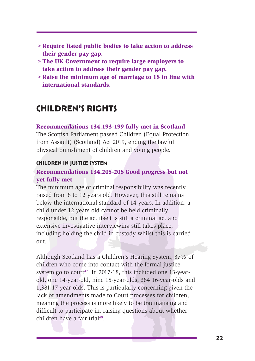- **>Require listed public bodies to take action to address their gender pay gap.**
- **>The UK Government to require large employers to take action to address their gender pay gap.**
- **>Raise the minimum age of marriage to 18 in line with international standards.**

# **CHILDREN'S RIGHTS**

#### **Recommendations 134.193-199 fully met in Scotland**

The Scottish Parliament passed Children (Equal Protection from Assault) (Scotland) Act 2019, ending the lawful physical punishment of children and young people.

#### **CHILDREN IN JUSTICE SYSTEM**

#### **Recommendations 134.205-208 Good progress but not yet fully met**

The minimum age of criminal responsibility was recently raised from 8 to 12 years old. However, this still remains below the international standard of 14 years. In addition, a child under 12 years old cannot be held criminally responsible, but the act itself is still a criminal act and extensive investigative interviewing still takes place, including holding the child in custody whilst this is carried out.

**CHILDREN'S RIGH**<br> **Recommendations 134.19**<br>
The Scottish Parliament pas<br>
from Assault) (Scotland) Ac<br>
physical punishment of chil<br> **CHILDREN IN JUSTICE SYSTEM**<br> **Recommendations 134.20**<br> **Recommendations 134.20**<br> **Recomme** international standards.<br> **CHILDREN'S RIGHTS**<br>
Recommendations 134.193-199 fully met in Scotland<br>
The Scottish Parliament passed Children (Equal Protection<br>
from Assault) (Scotland) Act 2019, ending the lawful<br>
physical p Although Scotland has a Children's Hearing System, 37% of children who come into contact with the formal justice system go to court<sup>47</sup>. In 2017-18, this included one 13-yearold, one 14-year-old, nine 15-year-olds, 384 16-year-olds and 1,381 17-year-olds. This is particularly concerning given the lack of amendments made to Court processes for children, meaning the process is more likely to be traumatising and difficult to participate in, raising questions about whether **CHILDREN IN JUSTICE SYSTEM**<br>**Recommendations 134.205-208 Good progress but not**<br>**ret fully met**<br>**Recommendations 134.205-208 Good progress but not**<br>**ret minimum age of criminal responsibility was recently**<br>**Taised from 8**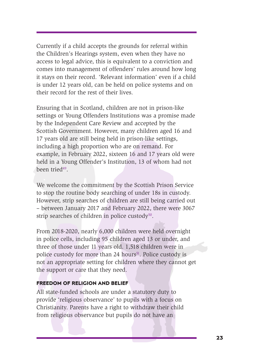Currently if a child accepts the grounds for referral within the Children's Hearings system, even when they have no access to legal advice, this is equivalent to a conviction and comes into management of offenders' rules around how long it stays on their record. 'Relevant information' even if a child is under 12 years old, can be held on police systems and on their record for the rest of their lives.

Is under 12 years old, can't their record for the rest of t<br>Ensuring that in Scotland, c<br>settings or Young Offenders<br>by the Independent Care Re<br>Scottish Government. Howe<br>17 years old are still being l<br>including a high prop is under 12 years old, can be held on police systems and on<br>their record for the rest of their lives.<br>Ensuring that in Scotland, children are not in prison-like<br>settings or Young Offenders Institutions was a promise made<br> Ensuring that in Scotland, children are not in prison-like settings or Young Offenders Institutions was a promise made by the Independent Care Review and accepted by the Scottish Government. However, many children aged 16 and 17 years old are still being held in prison-like settings, including a high proportion who are on remand. For example, in February 2022, sixteen 16 and 17 years old were held in a Young Offender's Institution, 13 of whom had not been tried $49$ .

We welcome the commitment by the Scottish Prison Service to stop the routine body searching of under 18s in custody. However, strip searches of children are still being carried out – between January 2017 and February 2022, there were 3067 strip searches of children in police custody $50$ .

From 2018-2020, nearly 6,000 children were held overnight in police cells, including 95 children aged 13 or under, and three of those under 11 years old. 1,518 children were in police custody for more than 24 hours<sup> $51$ </sup>. Police custody is not an appropriate setting for children where they cannot get the support or care that they need. **held in a Young Offender's Institution**, 13 of whom had not been tried<sup>49</sup>.<br>We welcome the commitment by the Scottish Prison Service to stop the routine body searching of under 18s in custody.<br>However, strip searches of c

#### **FREEDOM OF RELIGION AND BELIEF**

All state-funded schools are under a statutory duty to provide 'religious observance' to pupils with a focus on Christianity. Parents have a right to withdraw their child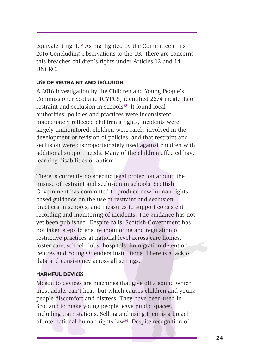equivalent right.52 As highlighted by the Committee in its 2016 Concluding Observations to the UK, there are concerns this breaches children's rights under Articles 12 and 14 UNCRC.

#### **USE OF RESTRAINT AND SECLUSION**

A 2018 investigation by the Children and Young People's Commissioner Scotland (CYPCS) identified 2674 incidents of restraint and seclusion in  $schools<sup>53</sup>$ . It found local authorities' policies and practices were inconsistent, inadequately reflected children's rights, incidents were largely unmonitored, children were rarely involved in the development or revision of policies, and that restraint and seclusion were disproportionately used against children with additional support needs. Many of the children affected have learning disabilities or autism.

A 2018 investigation by the Commissioner Scotland (CV<br>restraint and seclusion in sc<br>authorities' policies and prainded<br>indequately reflected child<br>largely unmonitored, childr<br>development or revision of<br>seclusion were dispr **USE OF RESTRAINT AND SECUSION**<br>A 2018 investigation by the Children and Young People's<br>Commissioner Scotland (CYPCS) identified 2674 incidents of<br>restraint and seclusion in schools<sup>18</sup>. It found local<br>authorities' polici There is currently no specific legal protection around the misuse of restraint and seclusion in schools. Scottish Government has committed to produce new human rightsbased guidance on the use of restraint and seclusion practices in schools, and measures to support consistent recording and monitoring of incidents. The guidance has not yet been published. Despite calls, Scottish Government has not taken steps to ensure monitoring and regulation of restrictive practices at national level across care homes, foster care, school clubs, hospitals, immigration detention centres and Young Offenders Institutions. There is a lack of data and consistency across all settings. learning disabilities or autism.<br>There is currently no specific legal protection around the<br>misuse of restraint and seclusion in schools. Scottish<br>Government has committed to produce new human rights-<br>based guidance on the

#### **HARMFUL DEVICES**

Mosquito devices are machines that give off a sound which most adults can't hear, but which causes children and young people discomfort and distress. They have been used in Scotland to make young people leave public spaces, including train stations. Selling and using them is a breach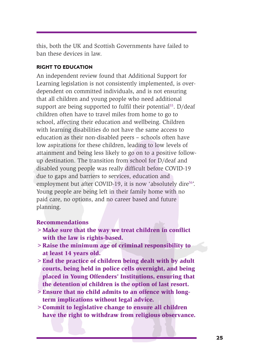this, both the UK and Scottish Governments have failed to ban these devices in law.

#### **RIGHT TO EDUCATION**

Learning regionated in committed in<br>dependent on committed in<br>that all children and young<br>support are being supportee<br>children often have to trave<br>school, affecting their educe<br>with learning disabilities dc<br>education as th Learning legislation is not consistently implemented, is over<br>dependent on committed individuals, and is not ensuaring<br>that all children and young people who need additional<br>support are being supported to fulfil their pot An independent review found that Additional Support for Learning legislation is not consistently implemented, is overdependent on committed individuals, and is not ensuring that all children and young people who need additional support are being supported to fulfil their potential<sup>55</sup>. D/deaf children often have to travel miles from home to go to school, affecting their education and wellbeing. Children with learning disabilities do not have the same access to education as their non-disabled peers – schools often have low aspirations for these children, leading to low levels of attainment and being less likely to go on to a positive followup destination. The transition from school for D/deaf and disabled young people was really difficult before COVID-19 due to gaps and barriers to services, education and employment but after COVID-19, it is now 'absolutely dire<sup>56</sup>'. Young people are being left in their family home with no paid care, no options, and no career based and future planning. relestination. The transition from school for D/deaf and<br>abled young people was really difficult before COVID-19<br>et to gaps and barriers to services, education and<br>ployment but after COVID-19, it is now 'absolutely dire<sup>s6</sup>

#### **Recommendations**

- **>Make sure that the way we treat children in conflict with the law is rights-based.**
- **>Raise the minimum age of criminal responsibility to at least 14 years old.**
- **>End the practice of children being dealt with by adult courts, being held in police cells overnight, and being placed in Young Offenders' Institutions, ensuring that the detention of children is the option of last resort.**
- **>Ensure that no child admits to an offence with longterm implications without legal advice.**
- **>Commit to legislative change to ensure all children**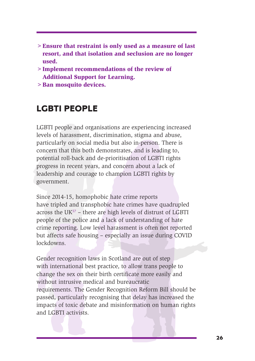- **>Ensure that restraint is only used as a measure of last resort, and that isolation and seclusion are no longer used.**
- **>Implement recommendations of the review of Additional Support for Learning.**
- **>Ban mosquito devices.**

# **LGBTI PEOPLE**

**EGBTI PEOPLE**<br>
LGBTI PEOPLE<br>
LGBTI people and organisal<br>
levels of harassment, discri-<br>
particularly on social media<br>
concern that this both demongotential roll-back and de-p<br>
progress in recent years, an<br>
leadership and LGBTI people and organisations are experiencing increased levels of harassment, discrimination, stigma and abuse, particularly on social media but also in-person. There is concern that this both demonstrates, and is leading to, potential roll-back and de-prioritisation of LGBTI rights progress in recent years, and concern about a lack of leadership and courage to champion LGBTI rights by government.

Since 2014-15, homophobic hate crime reports have tripled and transphobic hate crimes have quadrupled across the  $UK^{57}$  – there are high levels of distrust of LGBTI people of the police and a lack of understanding of hate crime reporting. Low level harassment is often not reported but affects safe housing – especially an issue during COVID lockdowns.

> Ban mosquito devices.<br> **LGBTI PEOPLE**<br>
LGBTI People and oganisations are experiencing increased<br>
Levels of harassment, discrimination, stigma and abuse,<br>
particularly on social media but also in-person. There is<br>
concer Gender recognition laws in Scotland are out of step with international best practice, to allow trans people to change the sex on their birth certificate more easily and without intrusive medical and bureaucratic requirements. The Gender Recognition Reform Bill should be passed, particularly recognising that delay has increased the impacts of toxic debate and misinformation on human rights potential roll-back and de-prioritisation of LGBTI rights<br>progress in recent years, and concern about a lack of<br>leadership and courage to champion LGBTI rights by<br>government.<br>Since 2014-15, homophobic hate crime reports<br>ha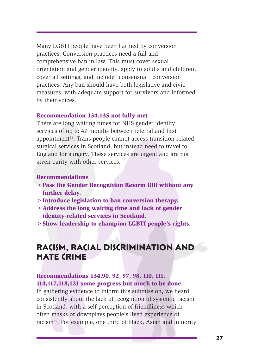Many LGBTI people have been harmed by conversion practices. Conversion practices need a full and comprehensive ban in law. This must cover sexual orientation and gender identity, apply to adults and children, cover all settings, and include "consensual" conversion practices. Any ban should have both legislative and civic measures, with adequate support for survivors and informed by their voices.

#### **Recommendation 134.135 not fully met**

plactices. Any ball should I<br>measures, with adequate st<br>by their voices.<br>**Recommendation 134.135**<br>There are long waiting time<br>services of up to 47 months<br>appointment<sup>58</sup>. Trans people<br>surgical services in Scotlana<br>England practices. Any ban should have both legislative and civic<br>measures, with adequate support for survivors and informed<br>by their voices.<br>**Recommendation 134.135 not fully met**<br>There are long waiting times for NHS gender ident There are long waiting times for NHS gender identity services of up to 47 months between referral and first appointment58. Trans people cannot access transition-related surgical services in Scotland, but instead need to travel to England for surgery. These services are urgent and are not given parity with other services.

#### **Recommendations**

- **>Pass the Gender Recognition Reform Bill without any further delay.**
- **>Introduce legislation to ban conversion therapy.**
- **>Address the long waiting time and lack of gender identity-related services in Scotland.**
- **>Show leadership to champion LGBTI people's rights.**

# **RACISM, RACIAL DISCRIMINATION AND HATE CRIME**

#### **Recommendations 134.90, 92, 97, 98, 110, 111, 114,117,118,121 some progress but much to be done**

In gathering evidence to inform this submission, we heard consistently about the lack of recognition of systemic racism in Scotland, with a self-perception of friendliness which often masks or downplays people's lived experience of racism and the services.<br>
Recommendations<br>
> Pass the Gender Recognition Reform Bill without any<br>
further delay.<br>
> Introduce legislation to ban conversion therapy.<br>
> Address the long waiting time and lack of gender<br>
iden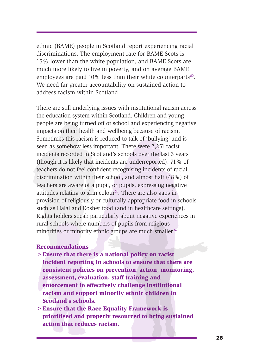ethnic (BAME) people in Scotland report experiencing racial discriminations. The employment rate for BAME Scots is 15% lower than the white population, and BAME Scots are much more likely to live in poverty, and on average BAME employees are paid  $10\%$  less than their white counterparts<sup>60</sup>. We need far greater accountability on sustained action to address racism within Scotland.

we need all gleader account address racism within Scotl<br>address racism within Scotl<br>There are still underlying iss<br>the education system within<br>people are being turned off of<br>impacts on their health and<br>Sometimes this racis We need far greater accountability on sustained action to<br>address racism within Scoland.<br>There are still underlying issues with institutional racism acros<br>the education system within Scoland. Children and young<br>tee the ed There are still underlying issues with institutional racism across the education system within Scotland. Children and young people are being turned off of school and experiencing negative impacts on their health and wellbeing because of racism. Sometimes this racism is reduced to talk of 'bullying' and is seen as somehow less important. There were 2,251 racist incidents recorded in Scotland's schools over the last 3 years (though it is likely that incidents are underreported). 71% of teachers do not feel confident recognising incidents of racial discrimination within their school, and almost half (48%) of teachers are aware of a pupil, or pupils, expressing negative attitudes relating to skin colour $61$ . There are also gaps in provision of religiously or culturally appropriate food in schools such as Halal and Kosher food (and in healthcare settings). Rights holders speak particularly about negative experiences in rural schools where numbers of pupils from religious minorities or minority ethnic groups are much smaller.<sup>62</sup> nough it is likely that incidents are underreported). 71% of<br>cohers do not feel confident recognising incidents of racial<br>crimination within their school, and almost half (48%) of<br>cohers are aware of a pupil, or pupils, ex

#### **Recommendations**

- **>Ensure that there is a national policy on racist incident reporting in schools to ensure that there are consistent policies on prevention, action, monitoring, assessment, evaluation, staff training and enforcement to effectively challenge institutional racism and support minority ethnic children in Scotland's schools.**
- **>Ensure that the Race Equality Framework is prioritised and properly resourced to bring sustained**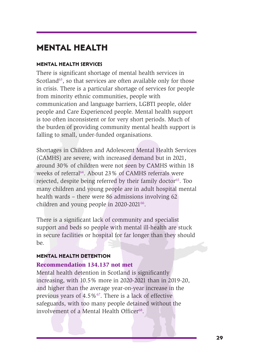# **MENTAL HEALTH**

#### **MENTAL HEALTH SERVICES**

There is significant shortage of mental health services in Scotland<sup>63</sup>, so that services are often available only for those in crisis. There is a particular shortage of services for people from minority ethnic communities, people with communication and language barriers, LGBTI people, older people and Care Experienced people. Mental health support is too often inconsistent or for very short periods. Much of the burden of providing community mental health support is falling to small, under-funded organisations.

in crisis. There is a particul<br>from minority ethnic comm<br>communication and langua<br>people and Care Experience<br>is too often inconsistent or<br>the burden of providing cor<br>falling to small, under-fund<br>Shortages in Children and solution, so unat services are otera are otera are otera and production in crisis. There is a particular shortage of services for people from minority ethnic communities, people with communication and language barriers. L Shortages in Children and Adolescent Mental Health Services (CAMHS) are severe, with increased demand but in 2021, around 30% of children were not seen by CAMHS within 18 weeks of referral<sup>64</sup>. About 23% of CAMHS referrals were rejected, despite being referred by their family doctor<sup>65</sup>. Too many children and young people are in adult hospital mental health wards – there were 86 admissions involving 62 children and young people in  $2020-2021^{66}$ . (CAMHS) are severe, with increased demand but in 2021,<br>around 30% of children were not seen by CAMHS verifials within 18<br>around 30% of CAMHS referrals were<br>rejected, despite being referred by their family doctor<sup>65</sup>. Too<br>m

There is a significant lack of community and specialist support and beds so people with mental ill-health are stuck in secure facilities or hospital for far longer than they should be.

#### **MENTAL HEALTH DETENTION**

#### **Recommendation 134.137 not met**

Mental health detention in Scotland is significantly increasing, with 10.5% more in 2020-2021 than in 2019-20, and higher than the average year-on-year increase in the previous years of  $4.5\%$ <sup>67</sup>. There is a lack of effective safeguards, with too many people detained without the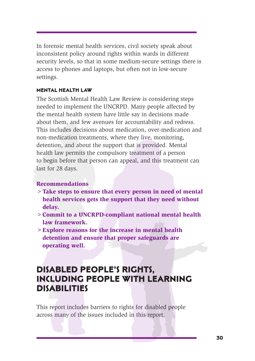In forensic mental health services, civil society speak about inconsistent policy around rights within wards in different security levels, so that in some medium-secure settings there is access to phones and laptops, but often not in low-secure settings.

#### **MENTAL HEALTH LAW**

**MENTAL HEALTH LAW**<br>The Scottish Mental Health<br>needed to implement the U<br>the mental health system h.<br>about them, and few avenu<br>This includes decisions abo<br>non-medication treatments,<br>detention, and about the sum beadth law **MENTAL HEALTH LAW**<br>The Scottish Mental Health Law Review is considering steps<br>needed to implement the UNCRPD. Many people affected by<br>the mental health system have little asy in decisions made<br>about them, and few avenues The Scottish Mental Health Law Review is considering steps needed to implement the UNCRPD. Many people affected by the mental health system have little say in decisions made about them, and few avenues for accountability and redress. This includes decisions about medication, over-medication and non-medication treatments, where they live, monitoring, detention, and about the support that is provided. Mental health law permits the compulsory treatment of a person to begin before that person can appeal, and this treatment can last for 28 days.

#### **Recommendations**

- **>Take steps to ensure that every person in need of mental health services gets the support that they need without delay.**
- **>Commit to a UNCRPD-compliant national mental health law framework.**
- **>Explore reasons for the increase in mental health detention and ensure that proper safeguards are operating well.**

# **DISABLED PEOPLE'S RIGHTS, INCLUDING PEOPLE WITH LEARNING DISABILITIES** to begin before that person can appeal, and this treatment can<br>last for 28 days.<br>Recommendations<br>> Take steps to ensure that every person in need of mental<br>health services gets the support that they need without<br>delay.<br>> C

This report includes barriers to rights for disabled people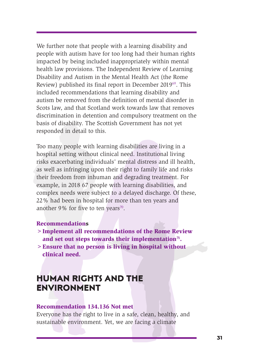We further note that people with a learning disability and people with autism have for too long had their human rights impacted by being included inappropriately within mental health law provisions. The Independent Review of Learning Disability and Autism in the Mental Health Act (the Rome Review) published its final report in December 201969. This included recommendations that learning disability and autism be removed from the definition of mental disorder in Scots law, and that Scotland work towards law that removes discrimination in detention and compulsory treatment on the basis of disability. The Scottish Government has not yet responded in detail to this.

Review published its linds<br>included recommendations<br>autism be removed from the<br>Scots law, and that Scotland<br>discrimination in detention<br>basis of disability. The Scot<br>responded in detail to this.<br>Too many people with learn<br> Review) published its final report in December 2019<sup>os</sup>. This included recommendations that learning disability and the moved from a disabriliary and the moved for socist law, and that Scolland work towards law that remov Too many people with learning disabilities are living in a hospital setting without clinical need. Institutional living risks exacerbating individuals' mental distress and ill health, as well as infringing upon their right to family life and risks their freedom from inhuman and degrading treatment. For example, in 2018 67 people with learning disabilities, and complex needs were subject to a delayed discharge. Of these, 22% had been in hospital for more than ten years and another 9% for five to ten years<sup>70</sup>. risks exacerbating individuals' mental distress and ill health,<br>as well as infringing upon their right to family life and risks<br>their freedom from infunnan and degrading teaturent. For<br>example, in 2018 67 people with learn

#### **Recommendations**

- **>Implement all recommendations of the Rome Review** and set out steps towards their implementation<sup>71</sup>.
- **>Ensure that no person is living in hospital without clinical need.**

# **HUMAN RIGHTS AND THE ENVIRONMENT**

#### **Recommendation 134.136 Not met**

Everyone has the right to live in a safe, clean, healthy, and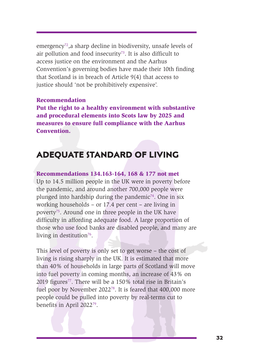emergency<sup>72</sup>, a sharp decline in biodiversity, unsafe levels of air pollution and food insecurity<sup>73</sup>. It is also difficult to access justice on the environment and the Aarhus Convention's governing bodies have made their 10th finding that Scotland is in breach of Article 9(4) that access to justice should 'not be prohibitively expensive'.

#### **Recommendation**

**Put the right to a healthy environment with substantive and procedural elements into Scots law by 2025 and measures to ensure full compliance with the Aarhus Convention.**

# **ADEQUATE STANDARD OF LIVING**

#### **Recommendations 134.163-164, 168 & 177 not met**

**Recommendation**<br>**Recommendation**<br>**Put the right to a healthy and procedural elements**<br>**measures to ensure full c**<br>**Convention.**<br>**ADEQUATE STAN**<br>**Recommendations 134.16**<br>Up to 14.5 million people in the pandemic, and arou justice should 'not be prohibitively expensive'.<br> **Recommendation**<br>
Put the right to a healthy environment with substantive<br>
and procedural elements into Scots law by 2025 and<br>
measures to ensure full compliance with the Up to 14.5 million people in the UK were in poverty before the pandemic, and around another 700,000 people were plunged into hardship during the pandemic<sup>74</sup>. One in six working households – or 17.4 per cent – are living in poverty<sup>75</sup>. Around one in three people in the UK have difficulty in affording adequate food. A large proportion of those who use food banks are disabled people, and many are living in destitution $76$ . **4.163-164, 168 & 177 not met**<br>
ble in the UK were in poverty before<br>
und another 700,000 people were<br>
uluring the pandemic<sup>74</sup>. One in six<br>
or 17.4 per cent – are living in<br>
in three people in the UK have<br>
dequate food. A

This level of poverty is only set to get worse – the cost of living is rising sharply in the UK. It is estimated that more than 40% of households in large parts of Scotland will move into fuel poverty in coming months, an increase of 43% on 2019 figures<sup>77</sup>. There will be a  $150\%$  total rise in Britain's fuel poor by November 2022<sup>78</sup>. It is feared that 400,000 more people could be pulled into poverty by real-terms cut to benefits in April 2022<sup>79</sup>.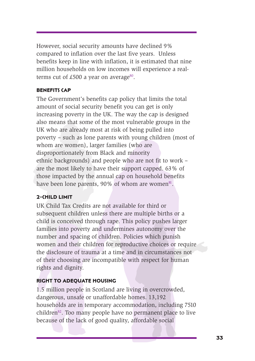However, social security amounts have declined 9% compared to inflation over the last five years. Unless benefits keep in line with inflation, it is estimated that nine million households on low incomes will experience a realterms cut of £500 a year on average<sup>80</sup>.

#### **BENEFITS CAP**

**BENEFITS CAP**<br>The Government's benefits<br>amount of social security b<br>increasing poverty in the UI<br>also means that some of the<br>UK who are already most a<br>poverty – such as lone pare<br>whom are women), larger f<br>disproportionate **BENEFITS CAP**<br>The Government's benefits cap policy that limits the total<br>amount of social security benefit you can get is only<br>amount of social security benefit you can get is only<br>increasing poverty in the UK. The way t The Government's benefits cap policy that limits the total amount of social security benefit you can get is only increasing poverty in the UK. The way the cap is designed also means that some of the most vulnerable groups in the UK who are already most at risk of being pulled into poverty – such as lone parents with young children (most of whom are women), larger families (who are disproportionately from Black and minority ethnic backgrounds) and people who are not fit to work – are the most likely to have their support capped. 63% of those impacted by the annual cap on household benefits have been lone parents,  $90\%$  of whom are women $^{81}$ .

#### **2-CHILD LIMIT**

UK Child Tax Credits are not available for third or subsequent children unless there are multiple births or a child is conceived through rape. This policy pushes larger families into poverty and undermines autonomy over the number and spacing of children. Policies which punish women and their children for reproductive choices or require the disclosure of trauma at a time and in circumstances not of their choosing are incompatible with respect for human rights and dignity. ethnic backgrounds) and people who are not fit to work-<br>are the most likely to have their support capped. 63% of<br>those impacted by the annual cap on household benefits<br>have been lone parents, 90% of whom are women<sup>st</sup>.<br>**2-**

#### **RIGHT TO ADEQUATE HOUSING**

1.5 million people in Scotland are living in overcrowded, dangerous, unsafe or unaffordable homes. 13,192 households are in temporary accommodation, including 7510  $children<sup>82</sup>$ . Too many people have no permanent place to live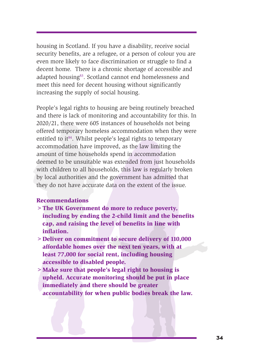housing in Scotland. If you have a disability, receive social security benefits, are a refugee, or a person of colour you are even more likely to face discrimination or struggle to find a decent home. There is a chronic shortage of accessible and adapted housing<sup>83</sup>. Scotland cannot end homelessness and meet this need for decent housing without significantly increasing the supply of social housing.

meet uns need for decent in<br>increasing the supply of soc<br>People's legal rights to hous<br>and there is lack of monitor<br>2020/21, there were 605 ins<br>offered temporary homeless<br>entitled to it<sup>84</sup>. Whilst peopl<br>accommodation have meet this need for decent housing without significantly<br>increasing the supply of social housing.<br>People's legal rights to housing are being routinely breached<br>and there is lack of monitoring and accountability for this. I People's legal rights to housing are being routinely breached and there is lack of monitoring and accountability for this. In 2020/21, there were 605 instances of households not being offered temporary homeless accommodation when they were entitled to it<sup>84</sup>. Whilst people's legal rights to temporary accommodation have improved, as the law limiting the amount of time households spend in accommodation deemed to be unsuitable was extended from just households with children to all households, this law is regularly broken by local authorities and the government has admitted that they do not have accurate data on the extent of the issue. emed to be unsuitable was extended from just households<br>th children to all households, this law is regularly broken<br>local authorities and the government has admitted that<br>every do not have accurate data on the extent of th

#### **Recommendations**

- **>The UK Government do more to reduce poverty, including by ending the 2-child limit and the benefits cap, and raising the level of benefits in line with inflation.**
- **>Deliver on commitment to secure delivery of 110,000 affordable homes over the next ten years, with at least 77,000 for social rent, including housing accessible to disabled people.**
- **>Make sure that people's legal right to housing is upheld. Accurate monitoring should be put in place immediately and there should be greater**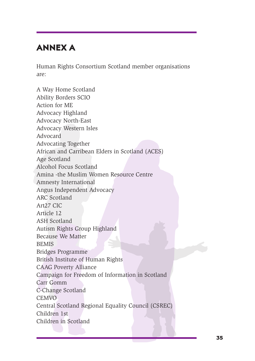# **ANNEX A**

Human Rights Consortium Scotland member organisations are:

A Way Home Scotland<br>
Ability Borders SCIO<br>
Action for ME<br>
Advocacy Highland<br>
Advocacy Western Isles<br>
Advocacy Western Isles<br>
Advocating Together<br>
African and Carribean Elde<br>
Age Scotland<br>
Alcohol Focus Scotland<br>
Amina -the A way Home Scotland<br>
Ability Borders SCIO<br>
Action for ME<br>
Action cor ME<br>
Advocacy Neislem Isles<br>
Advocacy Weislem Isles<br>
Advocacy Weislem Isles<br>
Advocating Together<br>
African and Carribean Elders in Scotland<br>
Actional Picus A Way Home Scotland Ability Borders SCIO Action for ME Advocacy Highland Advocacy North-East Advocacy Western Isles Advocard Advocating Together African and Carribean Elders in Scotland (ACES) Age Scotland Alcohol Focus Scotland Amina -the Muslim Women Resource Centre Amnesty International Angus Independent Advocacy ARC Scotland Art27 CIC Article 12 ASH Scotland Autism Rights Group Highland Because We Matter **BEMIS** Bridges Programme British Institute of Human Rights CAAG Poverty Alliance Campaign for Freedom of Information in Scotland Carr Gomm C-Change Scotland **CEMVO** Central Scotland Regional Equality Council (CSREC) Children 1st Children in Scotland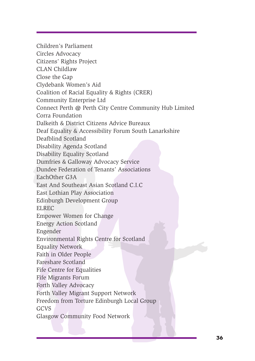Community Enterprise Ltd Connect Perrise Ltd Connect Perrise Ltd Connect Perrin @ Perth City Connect Perrin @ Perth City Connect Perrin @ Perth City Connect Perrin @ Perth City Connect Perrin & District Citizens Deaf Equal Clydebank Women's Aid<br>Coalition of Racial Equality & Rights (CRER)<br>Community Enterprise Ltd<br>Connect Perth de Perth City Centre Community Hub Limited<br>Corra Foundation<br>Dakielih & District Citizens Advice Bureaux<br>Dealbind Sco Children's Parliament Circles Advocacy Citizens' Rights Project CLAN Childlaw Close the Gap Clydebank Women's Aid Coalition of Racial Equality & Rights (CRER) Community Enterprise Ltd Connect Perth @ Perth City Centre Community Hub Limited Corra Foundation Dalkeith & District Citizens Advice Bureaux Deaf Equality & Accessibility Forum South Lanarkshire Deafblind Scotland Disability Agenda Scotland Disability Equality Scotland Dumfries & Galloway Advocacy Service Dundee Federation of Tenants' Associations EachOther G3A East And Southeast Asian Scotland C.I.C East Lothian Play Association Edinburgh Development Group ELREC Empower Women for Change Energy Action Scotland Engender Environmental Rights Centre for Scotland Equality Network Faith in Older People Fareshare Scotland Fife Centre for Equalities Fife Migrants Forum Forth Valley Advocacy Forth Valley Migrant Support Network Freedom from Torture Edinburgh Local Group GCVS Dumfries & Galloway Advocacy Service<br>
Dundee Federation of Tenants' Associations<br>
East And Southeast Asian Scotland C.I.C<br>
East And Southeast Asian Scotland C.I.C<br>
East Lothian Play Association<br>
Elinburgh Development Group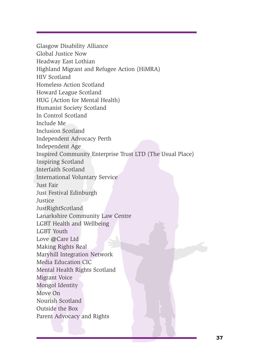Homeless Action Soudand<br>Howard League Scotland<br>HUG (Action for Mental He<br>Humanist Society Scotland<br>In Control Scotland<br>Include Me<br>In Control Scotland<br>Independent Advocacy Pert<br>Independent Advocacy Pert<br>Independent Age<br>Insp Homeless Action Scotland<br>
Howard League Scotland<br>
Huvard League Scotland<br>
In Control Scotland<br>
In Control Scotland<br>
In Control Scotland<br>
Include Me<br>
Include Me<br>
Include Me<br>
Include Me<br>
Inspired Community Enterprise Trust L Glasgow Disability Alliance Global Justice Now Headway East Lothian Highland Migrant and Refugee Action (HiMRA) HIV Scotland Homeless Action Scotland Howard League Scotland HUG (Action for Mental Health) Humanist Society Scotland In Control Scotland Include Me Inclusion Scotland Independent Advocacy Perth Independent Age Inspired Community Enterprise Trust LTD (The Usual Place) Inspiring Scotland Interfaith Scotland International Voluntary Service Just Fair Just Festival Edinburgh Justice JustRightScotland Lanarkshire Community Law Centre LGBT Health and Wellbeing LGBT Youth Love @Care Ltd Making Rights Real Maryhill Integration Network Media Education CIC Mental Health Rights Scotland Migrant Voice Mongol Identity Move On Nourish Scotland Outside the Box Inspiring Scotland<br>
International Voluntary Service<br>
International Voluntary Service<br>
Just Fasir<br>
Just Festival Edinburgh<br>
Just Festival Edinburgh<br>
Lanarkshire Community Law Centre<br>
LGBT Fouth<br>
Marking Rights Real<br>
Marking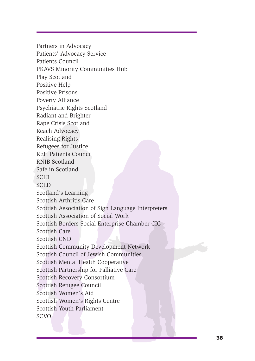Positive Piep<br>Positive Prisons<br>Poverty Alliance<br>Psychiatric Rights Scotland<br>Radiant and Brighter<br>Rape Crisis Scotland<br>Reach Advocacy<br>Realising Rights<br>Refugees for Justice<br>REH Patients Council<br>RNIB Scotland<br>Safe in Scotland Positive Help<br>
Positive Prisons<br>
Poverty Alliance<br>
Psychiatric Rights Scotland<br>
Radian and Brighter<br>
Rape Crisis Scotland<br>
Reach Advocacy<br>
Realising Rights<br>
Reflugees for Justice<br>
REH Patients Council<br>
RNIB Scotland<br>
SCID<br> Partners in Advocacy Patients' Advocacy Service Patients Council PKAVS Minority Communities Hub Play Scotland Positive Help Positive Prisons Poverty Alliance Psychiatric Rights Scotland Radiant and Brighter Rape Crisis Scotland Reach Advocacy Realising Rights Refugees for Justice REH Patients Council RNIB Scotland Safe in Scotland **SCID** SCLD Scotland's Learning Scottish Arthritis Care Scottish Association of Sign Language Interpreters Scottish Association of Social Work Scottish Borders Social Enterprise Chamber CIC Scottish Care Scottish CND Scottish Community Development Network Scottish Council of Jewish Communities Scottish Mental Health Cooperative Scottish Partnership for Palliative Care Scottish Recovery Consortium Scottish Refugee Council Scottish Women's Aid Scottish Women's Rights Centre Scottish Youth Parliament RNIB Scotland<br>Safe in Scotland<br>SCD<br>SCCD<br>SCOLD<br>SCCD<br>Scotland's Learning<br>Scotland's Learning<br>Scotland Association of Sign Language Interpreters<br>Scotlish Association of Social Work<br>Scotlish Correspondence Control Scotland Con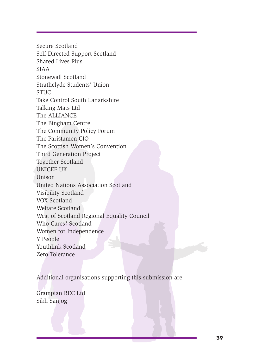State Control State Control State Control State Control State Control State Control State Control State The Bingham Centre<br>The Bingham Centre<br>The Bingham Centre<br>The Paristamen CIO<br>The Faristamen CIO<br>The Scottish Women's Co Strathclyde Students' Union<br>
STUC<br>
The ALLIANCE<br>
The ALLIANCE<br>
The Higham Centre<br>
The Higham Centre<br>
The Bingham Centre<br>
The Diminity Policy Forum<br>
The Parisianen Clo<br>
The Scottish Women's Convention<br>
Third Generation Proj Secure Scotland Self-Directed Support Scotland Shared Lives Plus SIAA Stonewall Scotland Strathclyde Students' Union **STUC** Take Control South Lanarkshire Talking Mats Ltd The ALLIANCE The Bingham Centre The Community Policy Forum The Paristamen CIO The Scottish Women's Convention Third Generation Project Together Scotland UNICEF UK Unison United Nations Association Scotland Visibility Scotland VOX Scotland Welfare Scotland West of Scotland Regional Equality Council Who Cares? Scotland Women for Independence Y People Youthlink Scotland Zero Tolerance Together Scotland<br>
UNICEF UK<br>
Unison<br>
United Nations Association Scotland<br>
Visibility Scotland<br>
Welfare Scotland<br>
Welfare Scotland<br>
Welfare Scotland<br>
Wenthink Scotland<br>
Xonthink Scotland<br>
Zero Tolerance<br>
Additional organis

Additional organisations supporting this submission are:

Grampian REC Ltd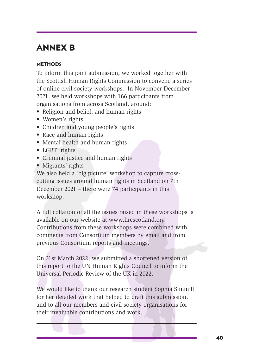# **ANNEX B**

#### **METHODS**

To inform this joint submission, we worked together with the Scottish Human Rights Commission to convene a series of online civil society workshops. In November-December 2021, we held workshops with 166 participants from organisations from across Scotland, around:

- Religion and belief, and human rights
- Women's rights
- Children and young people's rights
- Race and human rights
- Mental health and human rights
- LGBTI rights
- Criminal justice and human rights
- Migrants' rights

We also held a 'big picture' workshop to capture crosscutting issues around human rights in Scotland on 7th December 2021 – there were 74 participants in this workshop.

of online civil society works<br>
2021, we held workshops w<br>
organisations from across S<br>
• Religion and belief, and l<br>
• Women's rights<br>
• Children and young peop<br>
• Race and human rights<br>
• Mental health and human<br>
• LGBTI In exclusi runnal regular succession to converte a sense and to do online civil society worksho[p](http://www.hrcscotland.org)s. In November-December<br>2021, we held workshops with 166 participants from<br>organisations from across Scouland, around:<br>• Relig A full collation of all the issues raised in these workshops is available on our website at www.hrcscotland.org Contributions from these workshops were combined with comments from Consortium members by email and from previous Consortium reports and meetings. • Criminal justice and human rights<br>• Migrants' rights<br>• Migrants' rights<br>we also held a 'big picture' workshop to capture cross-<br>cutting issues around human rights in Scotland on 7th<br>December 2021 – there were 74 particip

On 31st March 2022, we submitted a shortened version of this report to the UN Human Rights Council to inform the Universal Periodic Review of the UK in 2022.

We would like to thank our research student Sophia Simmill for her detailed work that helped to draft this submission, and to all our members and civil society organisations for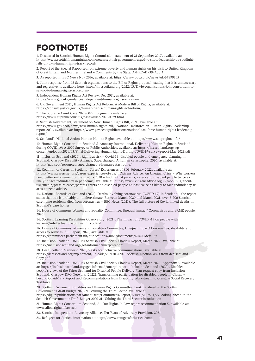# **FOOTNOTES**

1. Discussed in Scottish Human Rights Commission statement of 21 September 2017, available at: https://www.scottishhumanrights.com/news/scottish-government-urged-to-show-leadership-as-spotlightfalls-on-uk-s-human-rights-track-record/

2. Report of the Special Rapporteur on extreme poverty and human rights on his visit to United Kingdom of Great Britain and Northern Ireland – Comments by the State, A/HRC/41/39/Add.3

3. As reported in BBC News Nov 2016, available at: https://www.bbc.co.uk/news/uk-37899305

4. Joint response from 48 Scottish organisations to the Bill of Rights proposal, stating that it is unnecessary and regressive, is available here: https://hrcscotland.org/2022/03/11/46-organisations-join-consortium-tosay-no-to-human-rights-act-reform/

5. Independent Human Rights Act Review, Dec 2021, available at:

https://www.gov.uk/guidance/independent-human-rights-act-review

6. UK Government 2021, Human Rights Act Reform: A Modern Bill of Rights, available at:

https://consult.justice.gov.uk/human-rights/human-rights-act-reform/

7. The Supreme Court Case 2021/0079, judgment available at:

https://www.supremecourt.uk/cases/uksc-2021-0079.html

8. Scottish Government, statement on New Human Rights Bill, 2021, available at:

https://www.gov.scot/news/new-human-rights-bill/; National Taskforce on Human Rights Leadership report 2021, available at: https://www.gov.scot/publications/national-taskforce-human-rights-leadershipreport/

9. Scotland's National Action Plan on Human Rights, available at: https://www.snaprights.info/ 10. Human Rights Consortium Scotland & Amnesty International, Delivering Human Rights in Scotland during COVID-19: A 2020 Survey of Public Authorities, available at: https://hrcscotland.org/wpcontent/uploads/2021/05/Final-Delivering-Human-Rights-During-COVID19-survey-report-May-2021.pdf

11. Inclusion Scotland (2020), Rights at risk – Covid-19, disabled people and emergency planning in Scotland; Glasgow Disability Alliance, Supercharged: A human catastrophe, 2020, available at: https://gda.scot/resources/supercharged-a-human-catastrophe/

and regressive, is available here: https://hrescot<br>any-no-to-buman-rights-act-reform/<br>S. Independent Human Rights act Reform/<br>S. Independent Human Rights act Reform, Dec.<br>16. The type weak particles goving the further of U s. A sheet and you are the particular to the sheet of the original particular to the sheet of the sheet of the sheet of the sheet of the sheet of the sheet of the sheet of the sheet of the sheet of the sheet of the sheet o 12. Coalition of Carers in Scotland, Carers' Experiences of SDS February 2022, available at: https://www.carersnet.org/carers-experiences-of-sds/ ; Citizens Advice, An Unequal Crisis – Why workers need better enforcement of their rights 2020 – finding that parents, carers and disabled people twice as likely to face redundancy in pandemic, available at: https://www.citizensadvice.org.uk/about-us/aboutus1/media/press-releases/parents-carers-and-disabled-people-at-least-twice-as-likely-to-face-redundancy-w arns-citizens-advice/

13. National Records of Scotland (2021), Deaths involving coronavirus (COVID-19) in Scotland – the report states that this is probably an underestimate. Between March 2020 and March 2021, over 3,200 Scottish care home residents died from coronavirus – BBC News (2021), The full picture of Covid-linked deaths in Scotland's care homes

14. House of Commons Women and Equality Committee, Unequal impact? Coronavirus and BAME people, 2020

14. Scottish Learning Disabilities Observatory (2021), The impact of COVID -19 on people with learning/intellectual disabilities in Scotland

16. House of Commons Women and Equalities Committee, Unequal impact? Coronavirus, disability and access to services: full Report, 2020, available at:

https://committees.parliament.uk/publications/4068/documents/40461/default/

17. Inclusion Scotland, UNCRPD Scottish Civil Society Shadow Report, March 2022, available at: https://inclusionscotland.org/get-informed/uncrpd-report

18. Deaf Scotland Manifesto 2021, 5 asks for inclusive communications, available at: https://deafscotland.org/wp-content/uploads/2021/03/2021-Scottish-Election-Asks-from-deafscotland-Copy.pdf

19. Inclusion Scotland, UNCRPD Scottish Civil Society Shadow Report, March 2022, Appendix 3, available at: https://inclusionscotland.org/get-informed/uncrpd-report ; Inclusion Scotland (2020), Disabled people's views of the Fairer Scotland for Disabled People Delivery Plan request copy from Inclusion Scotland; Glasgow DPO Network (2022), Transforming participation for disabled people in Glasgow beyond Covid-19 – Report and Recommendations from Disability Workstream to Glasgow Social Recovery **Taskforce** 

20. Scottish Parliament Equalities and Human Rights Committee, Looking ahead to the Scottish Government's draft budget 2020-21: Valuing the Third Sector, available at: https://digitalpublications.parliament.scot/Committees/Report/EHRiC/2019/11/7/Looking-ahead-to-the-Scottish-Government-s-Draft-Budget-2020-21--Valuing-the-Third-Sector#Introduction

21. Human Rights Consortium Scotland, All Our Rights In Law report recommendation 5, available at: www.allourrightsinlaw.scot

22. Scottish Independent Advocacy Alliance, Ten Years of Advocacy Provision, 2021

23. Refugees for Justice, information at: https://www.refugeesforjustice.com/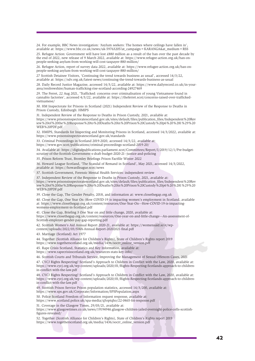24. For example, BBC News investigation: 'Asylum seekers: The homes where ceilings have fallen in', available at: https://www.bbc.co.uk/news/uk-59763205?at\_campaign=KARANGA&at\_medium=RSS

25. Refugee Action: Government will have lost £880 million as a result of the ban over the past decade by the end of 2022, new release of 9 March 2022, available at: https://www.refugee-action.org.uk/ban-onpeople-seeking-asylum-from-working-will-cost-taxpayer-880-million/

26. Refugee Action, report of survey data 2022, available at: https://www.refugee-action.org.uk/ban-onpeople-seeking-asylum-from-working-will-cost-taxpayer-880-million/

27 Scottish Detainee Visitors, 'Continuing the trend towards business as usual', accessed 14/3/22, available at: https://sdv.org.uk/latest-news/continuing-the-trend-towards-business-as-usual

28. Daily Record Justice Magazine, accessed 14/3/22, available at: https://www.dailyrecord.co.uk/in-yourarea/renfrewshire/human-trafficking-rise-scotland-according-24927469

29. The Ferret, 22 Aug 2021, 'Trafficked: concerns over criminalisation of young Vietnamese found in cannabis factories', accessed 4/3/22, available at: https://theferret.scot/concerns-raised-over-traffickedvietnamese/

30. HM Inspectorate for Prisons in Scotland (2021) Independent Review of the Response to Deaths in Prison Custody, Edinburgh: HMIPS

2.6. Itany Becture Instanting Matthe magnetics, actesta 14,<br>are Newthertwahire/human trafficking-rise scollar<br>29. The Ferret, 22 Aug 2021, Trafficking-rise scollar<br>connabls factories', accessed 4/3/22, available 2<br>vietnam **23.** Control cancel and the signific and the signific and the signific and the signific and the signific and the signific and the signific and the signific and the signific and the signific and the signific and the signi 31. Independent Review of the Response to Deaths in Prison Custody, 2021, available at: https://www.prisonsinspectoratescotland.gov.uk/sites/default/files/publication\_files/Independent%20Rev iew%20of%20the%20Response%20to%20Deaths%20in%20Prison%20Custody%20p6%20%281%29%20 WEB%20PDF.pdf

32. HMIPS, Standards for Inspecting and Monitoring Prisons in Scotland, accessed 14/3/2022, available at: https://www.prisonsinspectoratescotland.gov.uk/standards

33. Criminal Proceedings in Scotland 2019-2020, accessed 14/3/22, available at:

https://www.gov.scot/publications/criminal-proceedings-scotland-2019-20/ 34. Available at: https://digitalpublications.parliament.scot/Committees/Report/J/2019/12/1/Pre-budgetscrutiny-of-the-Scottish-Government-s-draft-budget-2020-21--justice-and-policing

35. Prison Reform Trust, Bromley Briefings Prison Factfile Winter 2022

36. Howard League Scotland, 'The Scandal of Remand in Scotland', May 2021, accessed 14/3/2022, available at: https://howardleague.scot/news

37. Scottish Government, Forensic Mental Health Services: independent review

37. Independent Review of the Response to Deaths in Prison Custody, 2021, available at:

https://www.prisonsinspectoratescotland.gov.uk/sites/default/files/publication\_files/Independent%20Rev iew%20of%20the%20Response%20to%20Deaths%20in%20Prison%20Custody%20p6%20%281%29%20 WEB%20PDF.pdf

39. Close the Gap, The Gender Penalty, 2018, and information at: www.closethegap.org.uk

40. Close the Gap, One Year On -How COVID-19 is impacting women's employment in Scotland, available at: https://www.closethegap.org.uk/content/resources/One-Year-On---How-COVID-19-is-impactingwomens-employment-in-Scotland.pdf

41. Close the Gap, Briefing 3 One Year on and little change, 2020, available at:

https://www.closethegap.org.uk/content/resources/One-year-on-and-little-change---An-assessment-of-Scottish-employer-gender-pay-gap-reporting.pdf

42. Scottish Women's Aid Annual Report 2020-21, available at: https://womensaid.scot/wpcontent/uploads/2022/03/SWA-Annual-Report-20202021-final.pdf

43. Marriage (Scotland) Act 1977

44. Together (Scottish Alliance for Children's Rights), State of Children's Rights report 2019

https://www.togetherscotland.org.uk/media/1436/socrr\_online\_version.pdf

45. Rape Crisis Scotland, Statistics and Key Information, available at:

https://www.rapecrisisscotland.org.uk/resources-stats-key-info/

46. Scottish Courts and Tribunals Service, Improving the Management of Sexual Offences Cases, 2021

47. CYCJ Rights Respecting? Scotland's Approach to Children in Conflict with the Law, 2020, available at: https://www.cycj.org.uk/wp-content/uploads/2020/01/Rights-Respecting-Scotlands-approach-to-childrenin-conflict-with-the-law.pdf

48. CYCJ Rights Respecting? Scotland's Approach to Children in Conflict with the Law, 2020, available at: https://www.cycj.org.uk/wp-content/uploads/2020/01/Rights-Respecting-Scotlands-approach-to-childrenin-conflict-with-the-law.pdf

49. Scottish Prison Service Prison population statistics, accessed 14/3/200, available at: https://www.sps.gov.uk/Corporate/Information/SPSPopulation.aspx

50. Police Scotland Freedom of Information request response, available at:

https://www.scotland.police.uk/spa-media/q5optqho/22-0465-foi-response.pdf

51. Coverage in the Glasgow Times, 29/03/21, available at:

https://www.glasgowtimes.co.uk/news/19194946.glasgow-children-jailed-overnight-police-cells-scottishfigures-revealed/

52. Together (Scottish Alliance for Children's Rights), State of Children's Rights report 2019 https://www.togetherscotland.org.uk/media/1436/socrr\_online\_version.pdf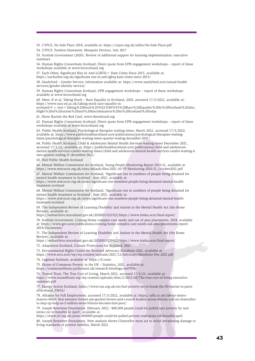53. CYPCS, No Safe Place 2018, available at: https://cypcs.org.uk/ufiles/No-Safe-Place.pdf

54. CYPCS, Position Statement: Mosquito Devices, July 2017

55. Scottish Government (2020). Review of additional support for learning implementation: executive summary

56. Human Rights Consortium Scotland, Direct quote from UPR engagement workshops – report of these workshops available at www.hrcscotland.org

57. Each Other, Significant Rise In Anti-LGBTQ+ Hate Crime Since 2015, available at:

https://eachother.org.uk/significant-rise-in-anti-lgbtq-hate-crime-since-2015/

58. Sandyford – Gender Service, information available at: https://www.sandyford.scot/sexual-healthservices/gender-identity-service/

59. Human Rights Consortium Scotland, UPR engagement workshops – report of these workshops available at www.hrcscotland.org

60. Meer, N et al, Taking Stock – Race Equality in Scotland, 2020, accessed 17/3/2022, available at: https://www.race.ed.ac.uk/taking-stock-race-equality-inscotland/#:~:text=Taking%20Stock%20%E2%80%93%20Race%20Equality%20in%20Scotland%20also,

blight%20of%20racism%20and%20discrimination%20in%20Scotland%20today

61. Show Racism the Red Card, www.theredcard.org

62. Human Rights Consortium Scotland, Direct quote from UPR engagement workshops – report of these workshops available at www.hrcscotland.org

63. Public Health Scotland, Psychological therapies waiting times, March 2022, accessed 17/3/2022, available at: https://www.publichealthscotland.scot/publications/psychological-therapies-waitingtimes/psychological-therapies-waiting-times-quarter-ending-december-2021/

services geneter-identity-services (and 10PR exampled a twww.hresonctions Solution and UPR exampled a tww.hresocoland organizations (4) then a constrained a tww.hresocoland organization is constrained a constrained solutio 38. Simple of Contract systems interesting to sample in the payer of the sample of contract systems of the sample of the sample of the sample of the sample of the sample of the sample of the sample of the sample of the sa 64. Public Health Scotland, Child & Adolescent Mental Health Services waiting times December 2021, accessed 17/3/22, available at: https://publichealthscotland.scot/publications/child-and-adolescentmental-health-services-camhs-waiting-times/child-and-adolescent-mental-health-services-camhs-waiting-ti mes-quarter-ending-31-december-2021/

65. Ibid Public Health Scotland

66. Mental Welfare Commission for Scotland, Young People Monitoring Report 2020-21, available at: https://www.mwcscot.org.uk/sites/default/files/2021-10/YP-Monitoring-2020-21\_October2021.pdf

67. Mental Welfare Commission for Scotland, 'Significant rise in numbers of people being detained for mental health treatment in Scotland', Sept 2021, available at:

https://www.mwcscot.org.uk/news/significant-rise-numbers-people-being-detained-mental-healthtreatment-scotland

68. Mental Welfare Commission for Scotland, 'Significant rise in numbers of people being detained for mental health treatment in Scotland', Sept 2021, available at:

https://www.mwcscot.org.uk/news/significant-rise-numbers-people-being-detained-mental-healthtreatment-scotland

69. The Independent Review of Learning Disability and Autism in the Mental Health Act (the Rome Review), available at:

https://webarchive.nrscotland.gov.uk/20200313211922/https://www.irmha.scot/final-report/

70. Scottish Government, Coming Home complex care needs and out of area placements, 2018, available at: https://www.gov.scot/publications/coming-home-complex-care-needs-out-area-placements-report-2018/documents/

71. The Independent Review of Learning Disability and Autism in the Mental Health Act (the Rome Review), available at:

https://webarchive.nrscotland.gov.uk/20200313211922/https://www.irmha.scot/final-report/

72. Adaptation Scotland, Climate Projections for Scotland, 2021

73. Environmental Rights Centre for Scotland Advocacy Manifesto 2021, available at:

https://www.ercs.scot/wp/wp-content/uploads/2021/12/Advocacy-Manifesto-Dec-2021.pdf

74. Legetum Institute, available at: https://li.com/

75. House of Commons Poverty in the UK – Statistics, 2021, available at: https://commonslibrary.parliament.uk/research-briefings/sn07096/

76. Trussel Trust, The True Cost of Living, March 2022, accessed 17/3/22, available at: https://www.trusselltrust.org/wp-content/uploads/sites/2/2022/03/The-true-cost-of-living-executivesummary.pdf

77. Energy Action Scotland, https://www.eas.org.uk/en/fuel-poverty-set-to-break-the-50-barrier-in-partsof-scotland\_59652/

78. Alliance for Full Employment, accessed 17/3/2022, available at: https://affe.co.uk/labour-metromayors-welsh-first-minister-former-pm-gordon-brown-and-council-leaders-across-britain-call-on-chancellorto-step-up-help-as-3-million-more-britons-become-fuel-poor/

79. Joseph Rowntree Foundation, February 2022, '400,000 people could be pulled into poverty by realterms cut to benefits in April', available at:

https://www.jrf.org.uk/press/400000-people-could-be-pulled-poverty-real-terms-cut-benefits-april

80. Joseph Rowntree Foundation, New analysis shows Chancellor must act to avoid devastating damage to living standards of poorest families, March 2022